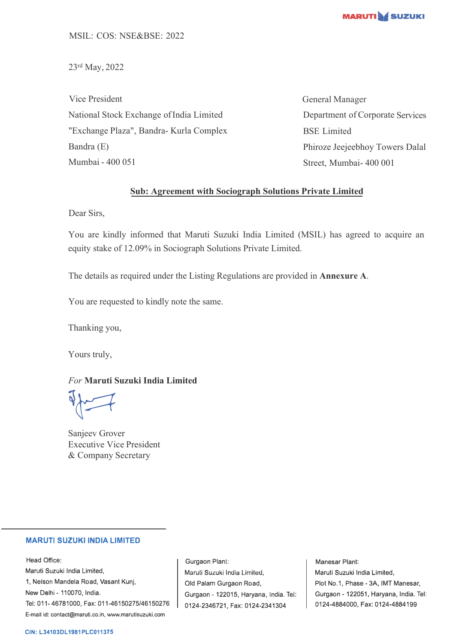

23rd May, 2022

Vice President National Stock Exchange of India Limited "Exchange Plaza", Bandra- Kurla Complex Bandra (E) Mumbai - 400 051

General Manager Department of Corporate Services BSE Limited Phiroze Jeejeebhoy Towers Dalal Street, Mumbai- 400 001

## **Sub: Agreement with Sociograph Solutions Private Limited**

Dear Sirs,

You are kindly informed that Maruti Suzuki India Limited (MSIL) has agreed to acquire an equity stake of 12.09% in Sociograph Solutions Private Limited.

The details as required under the Listing Regulations are provided in **Annexure A**.

You are requested to kindly note the same.

Thanking you,

Yours truly,

*For* **Maruti Suzuki India Limited**

 $\sqrt{2}$ 

Sanjeev Grover Executive Vice President & Company Secretary

## **MARUTI SUZUKI INDIA LIMITED**

Head Office: Maruti Suzuki India Limited, 1, Nelson Mandela Road, Vasant Kunj, New Delhi - 110070, India. Tel: 011-46781000, Fax: 011-46150275/46150276 E-mail id: contact@maruti.co.in, www.marutisuzuki.com

Gurgaon Plant: Maruli Suzuki India Lirniled, Old Palam Gurgaon Road, Gurgaon - 122015, Haryana, India. Tel: 0124-2346721, Fax: 0124-2341304

Manesar Plant: Maruti Suzuki India Limited, Plot No.1, Phase - 3A, IMT Manesar, Gurgaon - 122051, Haryana, India. Tel: 0124-4884000, Fax: 0124-4884199

## **CIN: L34103DL1981PLC011375**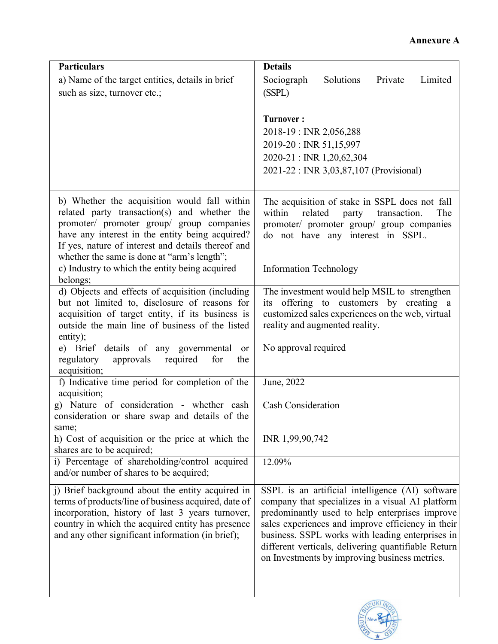| <b>Particulars</b>                                                                                                                                                                                                                                                                                | <b>Details</b>                                                                                                                                                                                                                                                                                                                                                          |
|---------------------------------------------------------------------------------------------------------------------------------------------------------------------------------------------------------------------------------------------------------------------------------------------------|-------------------------------------------------------------------------------------------------------------------------------------------------------------------------------------------------------------------------------------------------------------------------------------------------------------------------------------------------------------------------|
| a) Name of the target entities, details in brief                                                                                                                                                                                                                                                  | Solutions<br>Limited<br>Private<br>Sociograph                                                                                                                                                                                                                                                                                                                           |
| such as size, turnover etc.;                                                                                                                                                                                                                                                                      | (SSPL)                                                                                                                                                                                                                                                                                                                                                                  |
|                                                                                                                                                                                                                                                                                                   | <b>Turnover:</b><br>2018-19 : INR 2,056,288<br>2019-20: INR 51,15,997<br>2020-21: INR 1,20,62,304<br>2021-22 : INR 3,03,87,107 (Provisional)                                                                                                                                                                                                                            |
| b) Whether the acquisition would fall within<br>related party transaction(s) and whether the<br>promoter/ promoter group/ group companies<br>have any interest in the entity being acquired?<br>If yes, nature of interest and details thereof and<br>whether the same is done at "arm's length"; | The acquisition of stake in SSPL does not fall<br>within<br>related<br>party<br>transaction.<br>The<br>promoter/ promoter group/ group companies<br>do not have any interest in SSPL.                                                                                                                                                                                   |
| c) Industry to which the entity being acquired<br>belongs;                                                                                                                                                                                                                                        | <b>Information Technology</b>                                                                                                                                                                                                                                                                                                                                           |
| d) Objects and effects of acquisition (including<br>but not limited to, disclosure of reasons for<br>acquisition of target entity, if its business is<br>outside the main line of business of the listed<br>entity);                                                                              | The investment would help MSIL to strengthen<br>its offering to customers by creating a<br>customized sales experiences on the web, virtual<br>reality and augmented reality.                                                                                                                                                                                           |
| e) Brief details of any governmental<br><b>or</b><br>approvals<br>required<br>for<br>regulatory<br>the<br>acquisition;                                                                                                                                                                            | No approval required                                                                                                                                                                                                                                                                                                                                                    |
| f) Indicative time period for completion of the<br>acquisition;                                                                                                                                                                                                                                   | June, 2022                                                                                                                                                                                                                                                                                                                                                              |
| g) Nature of consideration - whether cash<br>consideration or share swap and details of the<br>same;                                                                                                                                                                                              | <b>Cash Consideration</b>                                                                                                                                                                                                                                                                                                                                               |
| h) Cost of acquisition or the price at which the<br>shares are to be acquired;                                                                                                                                                                                                                    | INR 1,99,90,742                                                                                                                                                                                                                                                                                                                                                         |
| i) Percentage of shareholding/control acquired<br>and/or number of shares to be acquired;                                                                                                                                                                                                         | 12.09%                                                                                                                                                                                                                                                                                                                                                                  |
| j) Brief background about the entity acquired in<br>terms of products/line of business acquired, date of<br>incorporation, history of last 3 years turnover,<br>country in which the acquired entity has presence<br>and any other significant information (in brief);                            | SSPL is an artificial intelligence (AI) software<br>company that specializes in a visual AI platform<br>predominantly used to help enterprises improve<br>sales experiences and improve efficiency in their<br>business. SSPL works with leading enterprises in<br>different verticals, delivering quantifiable Return<br>on Investments by improving business metrics. |